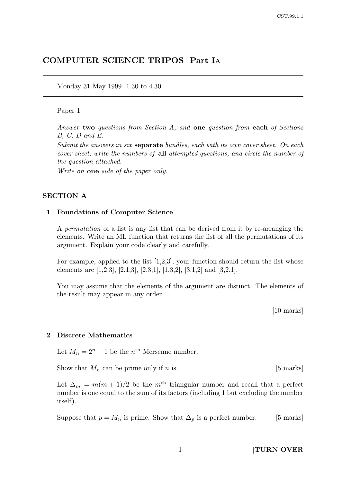# COMPUTER SCIENCE TRIPOS Part I<sup>A</sup>

Monday 31 May 1999 1.30 to 4.30

### Paper 1

Answer two questions from Section A, and one question from each of Sections B, C, D and E.

Submit the answers in six **separate** bundles, each with its own cover sheet. On each cover sheet, write the numbers of all attempted questions, and circle the number of the question attached.

Write on **one** side of the paper only.

#### SECTION A

## 1 Foundations of Computer Science

A permutation of a list is any list that can be derived from it by re-arranging the elements. Write an ML function that returns the list of all the permutations of its argument. Explain your code clearly and carefully.

For example, applied to the list  $[1,2,3]$ , your function should return the list whose elements are [1,2,3], [2,1,3], [2,3,1], [1,3,2], [3,1,2] and [3,2,1].

You may assume that the elements of the argument are distinct. The elements of the result may appear in any order.

[10 marks]

#### 2 Discrete Mathematics

Let  $M_n = 2^n - 1$  be the  $n^{\text{th}}$  Mersenne number.

Show that  $M_n$  can be prime only if n is. [5 marks]

Let  $\Delta_m = m(m+1)/2$  be the m<sup>th</sup> triangular number and recall that a perfect number is one equal to the sum of its factors (including 1 but excluding the number itself).

Suppose that  $p = M_n$  is prime. Show that  $\Delta_p$  is a perfect number. [5 marks]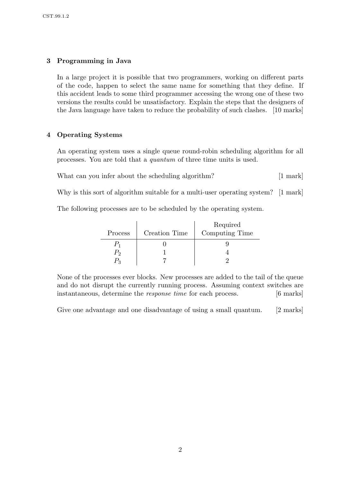# 3 Programming in Java

In a large project it is possible that two programmers, working on different parts of the code, happen to select the same name for something that they define. If this accident leads to some third programmer accessing the wrong one of these two versions the results could be unsatisfactory. Explain the steps that the designers of the Java language have taken to reduce the probability of such clashes. [10 marks]

# 4 Operating Systems

An operating system uses a single queue round-robin scheduling algorithm for all processes. You are told that a quantum of three time units is used.

What can you infer about the scheduling algorithm? [1 mark]

Why is this sort of algorithm suitable for a multi-user operating system? [1 mark]

The following processes are to be scheduled by the operating system.

|         |               | Required       |
|---------|---------------|----------------|
| Process | Creation Time | Computing Time |
|         |               |                |
| $P_2$   |               |                |
|         |               |                |

None of the processes ever blocks. New processes are added to the tail of the queue and do not disrupt the currently running process. Assuming context switches are instantaneous, determine the *response time* for each process. [6 marks]

Give one advantage and one disadvantage of using a small quantum. [2 marks]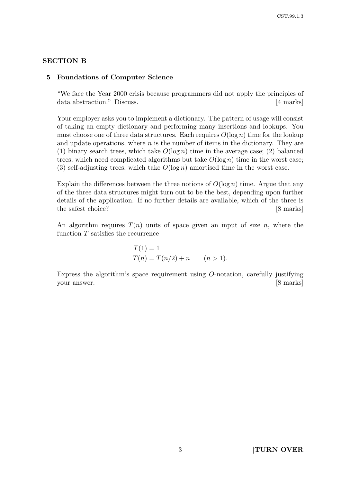## SECTION B

#### 5 Foundations of Computer Science

"We face the Year 2000 crisis because programmers did not apply the principles of data abstraction." Discuss. [4 marks]

Your employer asks you to implement a dictionary. The pattern of usage will consist of taking an empty dictionary and performing many insertions and lookups. You must choose one of three data structures. Each requires  $O(\log n)$  time for the lookup and update operations, where  $n$  is the number of items in the dictionary. They are (1) binary search trees, which take  $O(\log n)$  time in the average case; (2) balanced trees, which need complicated algorithms but take  $O(\log n)$  time in the worst case; (3) self-adjusting trees, which take  $O(\log n)$  amortised time in the worst case.

Explain the differences between the three notions of  $O(\log n)$  time. Argue that any of the three data structures might turn out to be the best, depending upon further details of the application. If no further details are available, which of the three is the safest choice? [8 marks]

An algorithm requires  $T(n)$  units of space given an input of size n, where the function  $T$  satisfies the recurrence

$$
T(1) = 1
$$
  
 
$$
T(n) = T(n/2) + n \qquad (n > 1).
$$

Express the algorithm's space requirement using O-notation, carefully justifying your answer. [8 marks]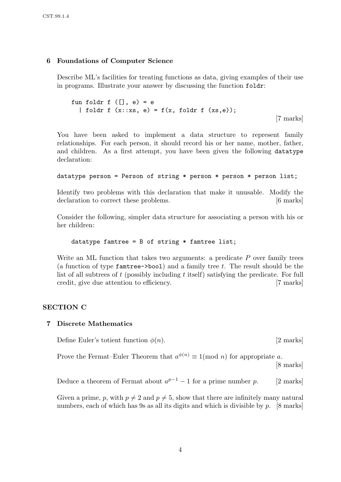# 6 Foundations of Computer Science

Describe ML's facilities for treating functions as data, giving examples of their use in programs. Illustrate your answer by discussing the function foldr:

```
fun foldr f ([, e) = e| foldr f (x::xs, e) = f(x, foldr f (xs,e));
```
[7 marks]

You have been asked to implement a data structure to represent family relationships. For each person, it should record his or her name, mother, father, and children. As a first attempt, you have been given the following datatype declaration:

```
datatype person = Person of string * person * person * person list;
```
Identify two problems with this declaration that make it unusable. Modify the declaration to correct these problems. [6 marks]

Consider the following, simpler data structure for associating a person with his or her children:

datatype famtree =  $B$  of string  $*$  famtree list;

Write an ML function that takes two arguments: a predicate  $P$  over family trees (a function of type  $f$ amtree- $\gt$ bool) and a family tree t. The result should be the list of all subtrees of  $t$  (possibly including  $t$  itself) satisfying the predicate. For full credit, give due attention to efficiency. [7 marks]

# SECTION C

# 7 Discrete Mathematics

Define Euler's totient function  $\phi(n)$ . [2 marks]

Prove the Fermat–Euler Theorem that  $a^{\phi(n)} \equiv 1 \pmod{n}$  for appropriate a.

[8 marks]

Deduce a theorem of Fermat about  $a^{p-1} - 1$  for a prime number p. [2 marks]

Given a prime, p, with  $p \neq 2$  and  $p \neq 5$ , show that there are infinitely many natural numbers, each of which has 9s as all its digits and which is divisible by p. [8 marks]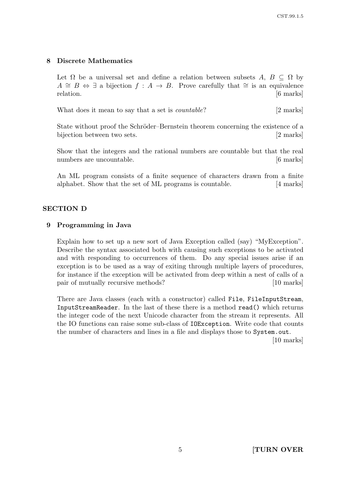# 8 Discrete Mathematics

Let  $\Omega$  be a universal set and define a relation between subsets  $A, B \subseteq \Omega$  by  $A \cong B \Leftrightarrow \exists$  a bijection  $f : A \rightarrow B$ . Prove carefully that  $\cong$  is an equivalence relation. [6 marks]

What does it mean to say that a set is *countable*? [2 marks]

State without proof the Schröder–Bernstein theorem concerning the existence of a bijection between two sets. [2 marks]

Show that the integers and the rational numbers are countable but that the real numbers are uncountable.  $[6 \text{ marks}]$ 

An ML program consists of a finite sequence of characters drawn from a finite alphabet. Show that the set of ML programs is countable. [4 marks]

### SECTION D

#### 9 Programming in Java

Explain how to set up a new sort of Java Exception called (say) "MyException". Describe the syntax associated both with causing such exceptions to be activated and with responding to occurrences of them. Do any special issues arise if an exception is to be used as a way of exiting through multiple layers of procedures, for instance if the exception will be activated from deep within a nest of calls of a pair of mutually recursive methods? [10 marks]

There are Java classes (each with a constructor) called File, FileInputStream, InputStreamReader. In the last of these there is a method read() which returns the integer code of the next Unicode character from the stream it represents. All the IO functions can raise some sub-class of IOException. Write code that counts the number of characters and lines in a file and displays those to System.out.

[10 marks]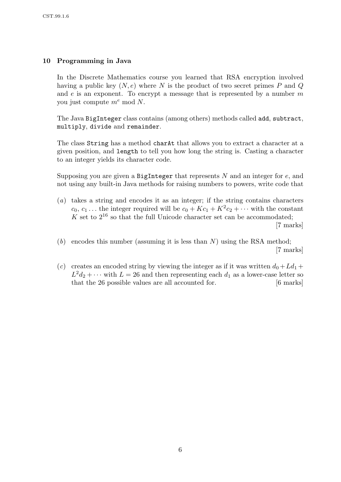# 10 Programming in Java

In the Discrete Mathematics course you learned that RSA encryption involved having a public key  $(N, e)$  where N is the product of two secret primes P and Q and  $e$  is an exponent. To encrypt a message that is represented by a number  $m$ you just compute  $m^e \mod N$ .

The Java BigInteger class contains (among others) methods called add, subtract, multiply, divide and remainder.

The class String has a method charAt that allows you to extract a character at a given position, and length to tell you how long the string is. Casting a character to an integer yields its character code.

Supposing you are given a BigInteger that represents  $N$  and an integer for  $e$ , and not using any built-in Java methods for raising numbers to powers, write code that

- (a) takes a string and encodes it as an integer; if the string contains characters  $c_0, c_1 ...$  the integer required will be  $c_0 + Kc_1 + K^2c_2 + \cdots$  with the constant  $K$  set to  $2^{16}$  so that the full Unicode character set can be accommodated; [7 marks]
- (b) encodes this number (assuming it is less than  $N$ ) using the RSA method; [7 marks]
- (c) creates an encoded string by viewing the integer as if it was written  $d_0 + Ld_1 +$  $L^2d_2 + \cdots$  with  $L = 26$  and then representing each  $d_1$  as a lower-case letter so that the 26 possible values are all accounted for. [6 marks]